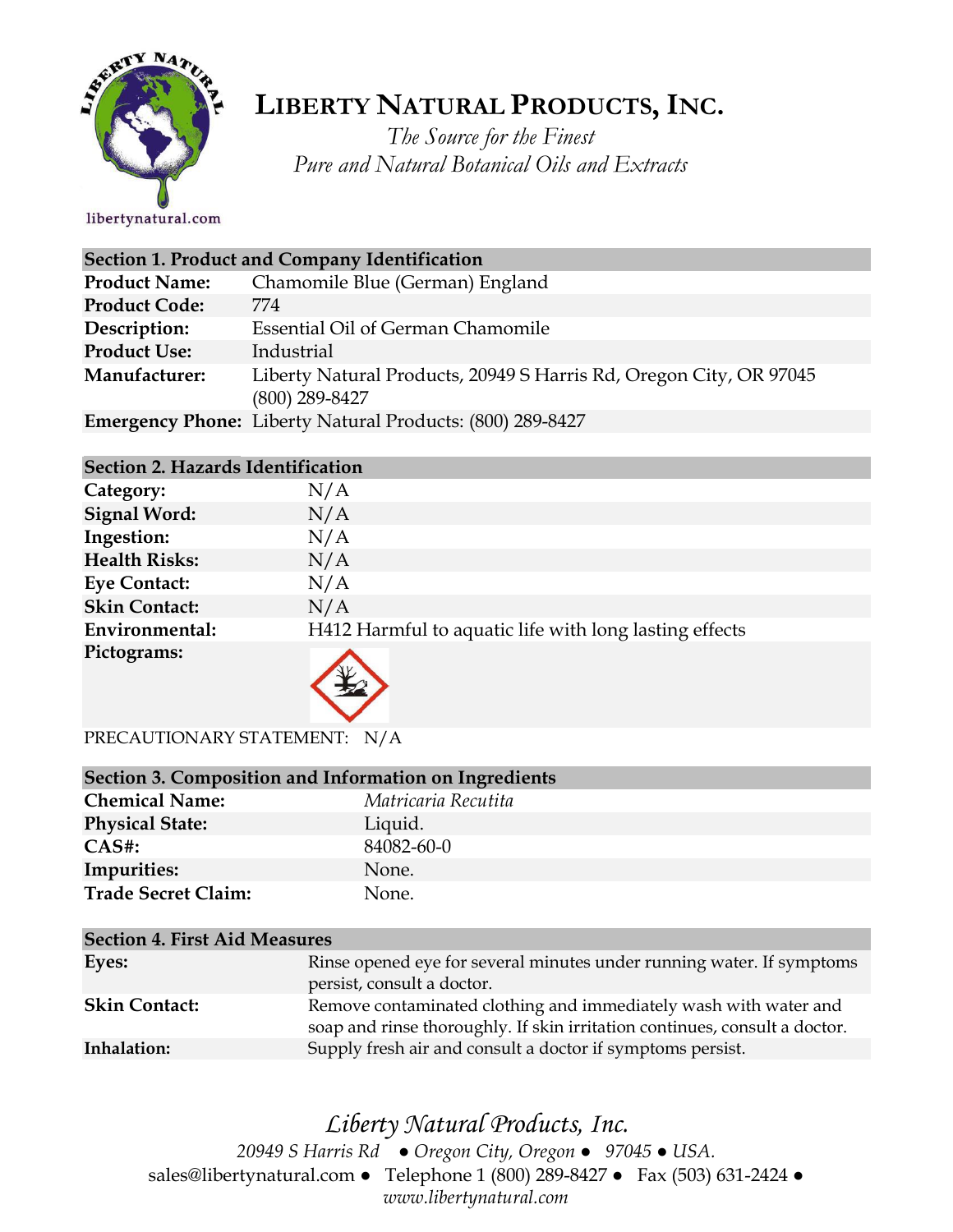

# **LIBERTY NATURAL PRODUCTS,INC.**

*The Source for the Finest Pure and Natural Botanical Oils and Extracts*

| Section 1. Product and Company Identification |                                                                                        |  |
|-----------------------------------------------|----------------------------------------------------------------------------------------|--|
| <b>Product Name:</b>                          | Chamomile Blue (German) England                                                        |  |
| <b>Product Code:</b>                          | 774                                                                                    |  |
| Description:                                  | Essential Oil of German Chamomile                                                      |  |
| <b>Product Use:</b>                           | Industrial                                                                             |  |
| Manufacturer:                                 | Liberty Natural Products, 20949 S Harris Rd, Oregon City, OR 97045<br>$(800)$ 289-8427 |  |
|                                               | <b>Emergency Phone:</b> Liberty Natural Products: (800) 289-8427                       |  |

#### **Section 2. Hazards Identification**

| Category:            | N/A                                                    |
|----------------------|--------------------------------------------------------|
| <b>Signal Word:</b>  | N/A                                                    |
| Ingestion:           | N/A                                                    |
| <b>Health Risks:</b> | N/A                                                    |
| <b>Eye Contact:</b>  | N/A                                                    |
| <b>Skin Contact:</b> | N/A                                                    |
| Environmental:       | H412 Harmful to aquatic life with long lasting effects |
| Pictograms:          |                                                        |

PRECAUTIONARY STATEMENT: N/A

| Section 3. Composition and Information on Ingredients |                     |  |
|-------------------------------------------------------|---------------------|--|
| <b>Chemical Name:</b>                                 | Matricaria Recutita |  |
| <b>Physical State:</b>                                | Liquid.             |  |
| $CAS#$ :                                              | 84082-60-0          |  |
| Impurities:                                           | None.               |  |
| <b>Trade Secret Claim:</b>                            | None.               |  |

| <b>Section 4. First Aid Measures</b> |                                                                                                                                                |  |
|--------------------------------------|------------------------------------------------------------------------------------------------------------------------------------------------|--|
| Eyes:                                | Rinse opened eye for several minutes under running water. If symptoms<br>persist, consult a doctor.                                            |  |
| <b>Skin Contact:</b>                 | Remove contaminated clothing and immediately wash with water and<br>soap and rinse thoroughly. If skin irritation continues, consult a doctor. |  |
| Inhalation:                          | Supply fresh air and consult a doctor if symptoms persist.                                                                                     |  |

### *Liberty Natural Products, Inc.*

*20949 S Harris Rd ● Oregon City, Oregon ● 97045 ● USA.*  sales@libertynatural.com *●* Telephone 1 (800) 289-8427 ● Fax (503) 631-2424 *● www.libertynatural.com*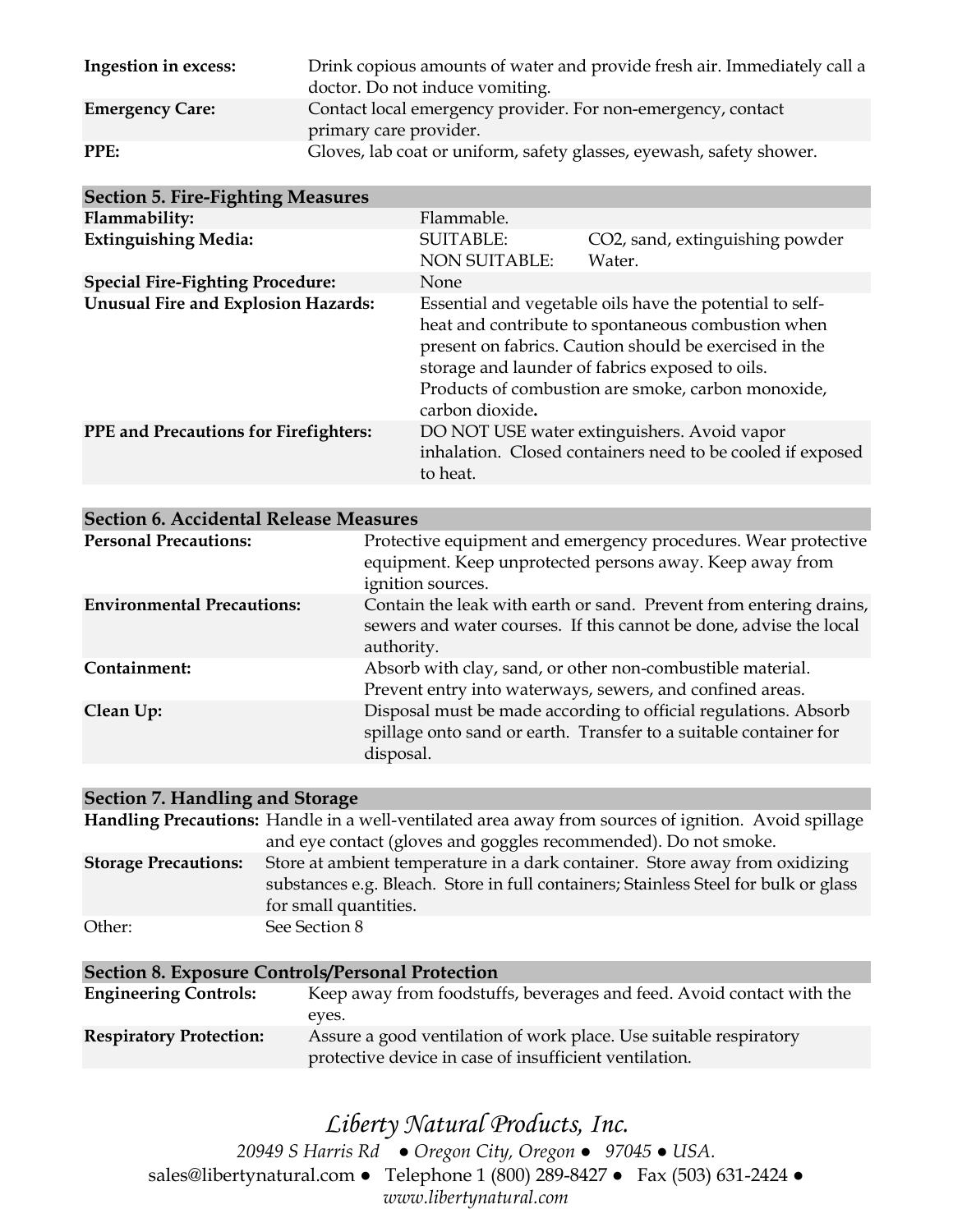| Ingestion in excess:   | Drink copious amounts of water and provide fresh air. Immediately call a<br>doctor. Do not induce vomiting. |
|------------------------|-------------------------------------------------------------------------------------------------------------|
| <b>Emergency Care:</b> | Contact local emergency provider. For non-emergency, contact<br>primary care provider.                      |
| PPE:                   | Gloves, lab coat or uniform, safety glasses, eyewash, safety shower.                                        |

| <b>Section 5. Fire-Fighting Measures</b>     |                                                                                                                                                                                                                                                                                                      |                                                                                                           |
|----------------------------------------------|------------------------------------------------------------------------------------------------------------------------------------------------------------------------------------------------------------------------------------------------------------------------------------------------------|-----------------------------------------------------------------------------------------------------------|
| Flammability:                                | Flammable.                                                                                                                                                                                                                                                                                           |                                                                                                           |
| <b>Extinguishing Media:</b>                  | <b>SUITABLE:</b><br><b>NON SUITABLE:</b>                                                                                                                                                                                                                                                             | CO2, sand, extinguishing powder<br>Water.                                                                 |
| <b>Special Fire-Fighting Procedure:</b>      | <b>None</b>                                                                                                                                                                                                                                                                                          |                                                                                                           |
| <b>Unusual Fire and Explosion Hazards:</b>   | Essential and vegetable oils have the potential to self-<br>heat and contribute to spontaneous combustion when<br>present on fabrics. Caution should be exercised in the<br>storage and launder of fabrics exposed to oils.<br>Products of combustion are smoke, carbon monoxide,<br>carbon dioxide. |                                                                                                           |
| <b>PPE</b> and Precautions for Firefighters: | to heat.                                                                                                                                                                                                                                                                                             | DO NOT USE water extinguishers. Avoid vapor<br>inhalation. Closed containers need to be cooled if exposed |

### **Section 6. Accidental Release Measures**

| <b>Personal Precautions:</b>      | Protective equipment and emergency procedures. Wear protective<br>equipment. Keep unprotected persons away. Keep away from<br>ignition sources.        |
|-----------------------------------|--------------------------------------------------------------------------------------------------------------------------------------------------------|
| <b>Environmental Precautions:</b> | Contain the leak with earth or sand. Prevent from entering drains,<br>sewers and water courses. If this cannot be done, advise the local<br>authority. |
| Containment:                      | Absorb with clay, sand, or other non-combustible material.<br>Prevent entry into waterways, sewers, and confined areas.                                |
| Clean Up:                         | Disposal must be made according to official regulations. Absorb<br>spillage onto sand or earth. Transfer to a suitable container for<br>disposal.      |

### **Section 7. Handling and Storage**

|                             | Handling Precautions: Handle in a well-ventilated area away from sources of ignition. Avoid spillage                                                                                        |
|-----------------------------|---------------------------------------------------------------------------------------------------------------------------------------------------------------------------------------------|
|                             | and eye contact (gloves and goggles recommended). Do not smoke.                                                                                                                             |
| <b>Storage Precautions:</b> | Store at ambient temperature in a dark container. Store away from oxidizing<br>substances e.g. Bleach. Store in full containers; Stainless Steel for bulk or glass<br>for small quantities. |
| Other:                      | See Section 8                                                                                                                                                                               |

| <b>Section 8. Exposure Controls/Personal Protection</b> |                                                                       |  |
|---------------------------------------------------------|-----------------------------------------------------------------------|--|
| <b>Engineering Controls:</b>                            | Keep away from foodstuffs, beverages and feed. Avoid contact with the |  |
|                                                         | eves.                                                                 |  |
| <b>Respiratory Protection:</b>                          | Assure a good ventilation of work place. Use suitable respiratory     |  |
|                                                         | protective device in case of insufficient ventilation.                |  |

## *Liberty Natural Products, Inc.*

*20949 S Harris Rd ● Oregon City, Oregon ● 97045 ● USA.*  sales@libertynatural.com *●* Telephone 1 (800) 289-8427 ● Fax (503) 631-2424 *● www.libertynatural.com*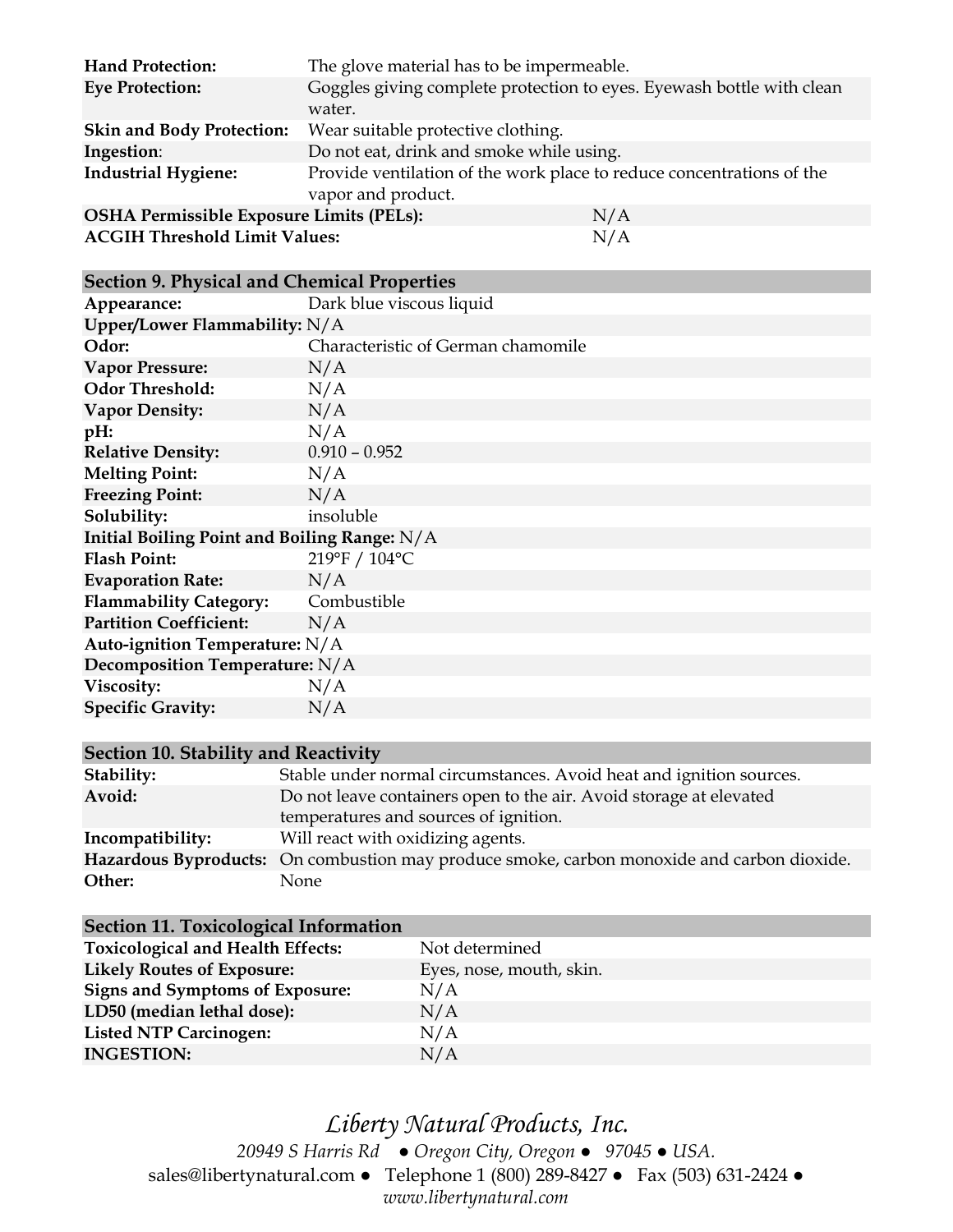| <b>Hand Protection:</b>                         | The glove material has to be impermeable.                                                   |     |
|-------------------------------------------------|---------------------------------------------------------------------------------------------|-----|
| <b>Eye Protection:</b>                          | Goggles giving complete protection to eyes. Eyewash bottle with clean<br>water.             |     |
| <b>Skin and Body Protection:</b>                | Wear suitable protective clothing.                                                          |     |
| Ingestion:                                      | Do not eat, drink and smoke while using.                                                    |     |
| <b>Industrial Hygiene:</b>                      | Provide ventilation of the work place to reduce concentrations of the<br>vapor and product. |     |
| <b>OSHA Permissible Exposure Limits (PELs):</b> |                                                                                             | N/A |
| <b>ACGIH Threshold Limit Values:</b>            |                                                                                             | N/A |

#### **Section 9. Physical and Chemical Properties**

| Appearance:                                  | Dark blue viscous liquid           |  |
|----------------------------------------------|------------------------------------|--|
| Upper/Lower Flammability: N/A                |                                    |  |
| Odor:                                        | Characteristic of German chamomile |  |
| <b>Vapor Pressure:</b>                       | N/A                                |  |
| <b>Odor Threshold:</b>                       | N/A                                |  |
| <b>Vapor Density:</b>                        | N/A                                |  |
| pH:                                          | N/A                                |  |
| <b>Relative Density:</b>                     | $0.910 - 0.952$                    |  |
| <b>Melting Point:</b>                        | N/A                                |  |
| <b>Freezing Point:</b>                       | N/A                                |  |
| Solubility:                                  | insoluble                          |  |
| Initial Boiling Point and Boiling Range: N/A |                                    |  |
| <b>Flash Point:</b>                          | 219°F / 104°C                      |  |
| <b>Evaporation Rate:</b>                     | N/A                                |  |
| <b>Flammability Category:</b>                | Combustible                        |  |
| <b>Partition Coefficient:</b>                | N/A                                |  |
| Auto-ignition Temperature: N/A               |                                    |  |
| Decomposition Temperature: N/A               |                                    |  |
| Viscosity:                                   | N/A                                |  |
| <b>Specific Gravity:</b>                     | N/A                                |  |

### **Section 10. Stability and Reactivity**

| Stability:       | Stable under normal circumstances. Avoid heat and ignition sources.                        |
|------------------|--------------------------------------------------------------------------------------------|
| Avoid:           | Do not leave containers open to the air. Avoid storage at elevated                         |
|                  | temperatures and sources of ignition.                                                      |
| Incompatibility: | Will react with oxidizing agents.                                                          |
|                  | Hazardous Byproducts: On combustion may produce smoke, carbon monoxide and carbon dioxide. |
| Other:           | None.                                                                                      |

| Section 11. Toxicological Information    |                          |
|------------------------------------------|--------------------------|
| <b>Toxicological and Health Effects:</b> | Not determined           |
| <b>Likely Routes of Exposure:</b>        | Eyes, nose, mouth, skin. |
| <b>Signs and Symptoms of Exposure:</b>   | N/A                      |
| LD50 (median lethal dose):               | N/A                      |
| <b>Listed NTP Carcinogen:</b>            | N/A                      |
| <b>INGESTION:</b>                        | N/A                      |

*Liberty Natural Products, Inc. 20949 S Harris Rd ● Oregon City, Oregon ● 97045 ● USA.*  sales@libertynatural.com *●* Telephone 1 (800) 289-8427 ● Fax (503) 631-2424 *● www.libertynatural.com*